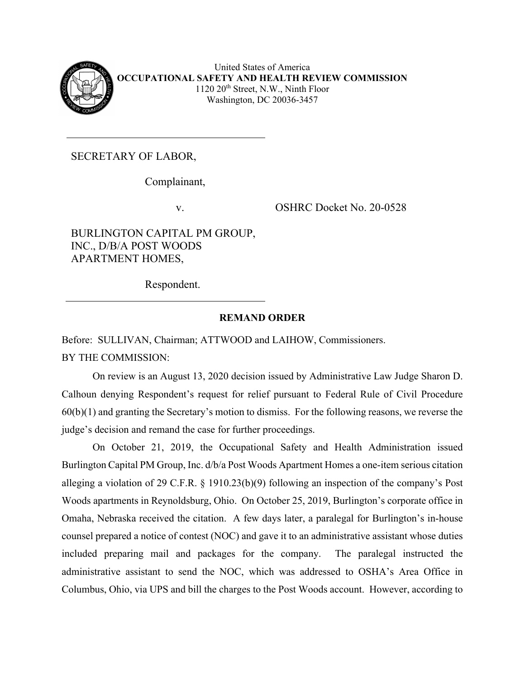

United States of America **OCCUPATIONAL SAFETY AND HEALTH REVIEW COMMISSION**  $1120 \ 20<sup>th</sup>$  Street, N.W., Ninth Floor Washington, DC 20036-3457

SECRETARY OF LABOR,

Complainant,

BURLINGTON CAPITAL PM GROUP, INC., D/B/A POST WOODS APARTMENT HOMES,

v. OSHRC Docket No. 20-0528

Respondent.

# **REMAND ORDER**

Before: SULLIVAN, Chairman; ATTWOOD and LAIHOW, Commissioners. BY THE COMMISSION:

On review is an August 13, 2020 decision issued by Administrative Law Judge Sharon D. Calhoun denying Respondent's request for relief pursuant to Federal Rule of Civil Procedure 60(b)(1) and granting the Secretary's motion to dismiss. For the following reasons, we reverse the judge's decision and remand the case for further proceedings.

On October 21, 2019, the Occupational Safety and Health Administration issued Burlington Capital PM Group, Inc. d/b/a Post Woods Apartment Homes a one-item serious citation alleging a violation of 29 C.F.R. § 1910.23(b)(9) following an inspection of the company's Post Woods apartments in Reynoldsburg, Ohio. On October 25, 2019, Burlington's corporate office in Omaha, Nebraska received the citation. A few days later, a paralegal for Burlington's in-house counsel prepared a notice of contest (NOC) and gave it to an administrative assistant whose duties included preparing mail and packages for the company. The paralegal instructed the administrative assistant to send the NOC, which was addressed to OSHA's Area Office in Columbus, Ohio, via UPS and bill the charges to the Post Woods account. However, according to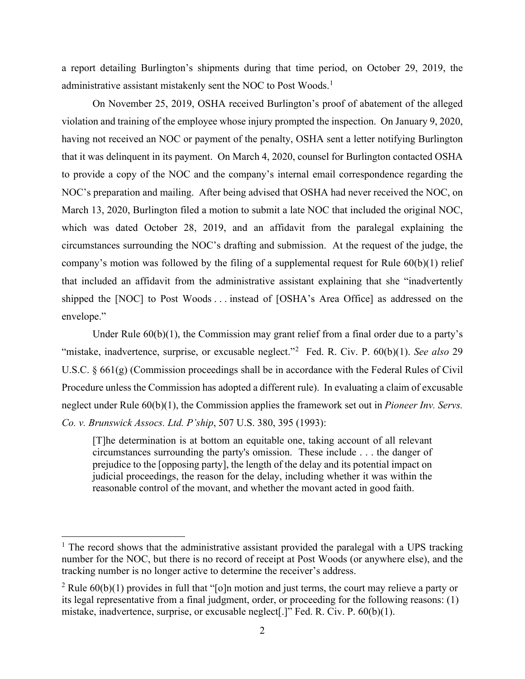a report detailing Burlington's shipments during that time period, on October 29, 2019, the administrative assistant mistakenly sent the NOC to Post Woods.<sup>[1](#page-1-0)</sup>

On November 25, 2019, OSHA received Burlington's proof of abatement of the alleged violation and training of the employee whose injury prompted the inspection. On January 9, 2020, having not received an NOC or payment of the penalty, OSHA sent a letter notifying Burlington that it was delinquent in its payment. On March 4, 2020, counsel for Burlington contacted OSHA to provide a copy of the NOC and the company's internal email correspondence regarding the NOC's preparation and mailing. After being advised that OSHA had never received the NOC, on March 13, 2020, Burlington filed a motion to submit a late NOC that included the original NOC, which was dated October 28, 2019, and an affidavit from the paralegal explaining the circumstances surrounding the NOC's drafting and submission. At the request of the judge, the company's motion was followed by the filing of a supplemental request for Rule 60(b)(1) relief that included an affidavit from the administrative assistant explaining that she "inadvertently shipped the [NOC] to Post Woods . . . instead of [OSHA's Area Office] as addressed on the envelope."

Under Rule  $60(b)(1)$ , the Commission may grant relief from a final order due to a party's "mistake, inadvertence, surprise, or excusable neglect."<sup>[2](#page-1-1)</sup> Fed. R. Civ. P. 60(b)(1). *See also* 29 U.S.C. § 661(g) (Commission proceedings shall be in accordance with the Federal Rules of Civil Procedure unless the Commission has adopted a different rule). In evaluating a claim of excusable neglect under Rule 60(b)(1), the Commission applies the framework set out in *Pioneer Inv. Servs. Co. v. Brunswick Assocs. Ltd. P'ship*, 507 U.S. 380, 395 (1993):

[T]he determination is at bottom an equitable one, taking account of all relevant circumstances surrounding the party's omission. These include . . . the danger of prejudice to the [opposing party], the length of the delay and its potential impact on judicial proceedings, the reason for the delay, including whether it was within the reasonable control of the movant, and whether the movant acted in good faith.

<span id="page-1-0"></span> $1$  The record shows that the administrative assistant provided the paralegal with a UPS tracking number for the NOC, but there is no record of receipt at Post Woods (or anywhere else), and the tracking number is no longer active to determine the receiver's address.

<span id="page-1-1"></span><sup>&</sup>lt;sup>2</sup> Rule  $60(b)(1)$  provides in full that "[o]n motion and just terms, the court may relieve a party or its legal representative from a final judgment, order, or proceeding for the following reasons: (1) mistake, inadvertence, surprise, or excusable neglect[.]" Fed. R. Civ. P. 60(b)(1).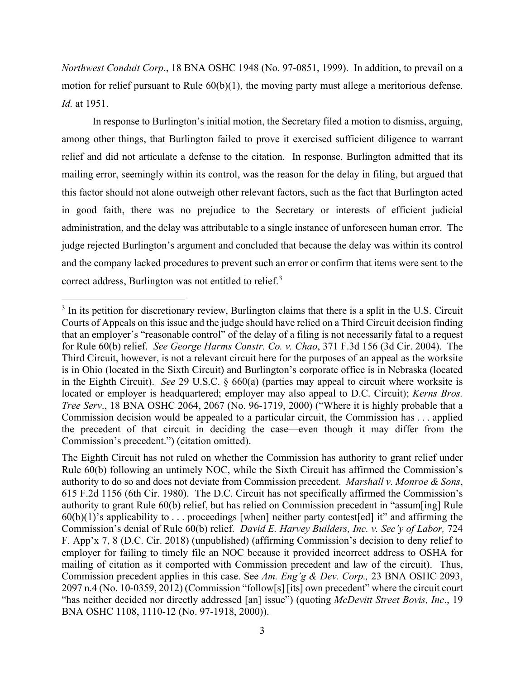*Northwest Conduit Corp*., 18 BNA OSHC 1948 (No. 97-0851, 1999). In addition, to prevail on a motion for relief pursuant to Rule 60(b)(1), the moving party must allege a meritorious defense. *Id.* at 1951.

In response to Burlington's initial motion, the Secretary filed a motion to dismiss, arguing, among other things, that Burlington failed to prove it exercised sufficient diligence to warrant relief and did not articulate a defense to the citation. In response, Burlington admitted that its mailing error, seemingly within its control, was the reason for the delay in filing, but argued that this factor should not alone outweigh other relevant factors, such as the fact that Burlington acted in good faith, there was no prejudice to the Secretary or interests of efficient judicial administration, and the delay was attributable to a single instance of unforeseen human error. The judge rejected Burlington's argument and concluded that because the delay was within its control and the company lacked procedures to prevent such an error or confirm that items were sent to the correct address, Burlington was not entitled to relief.<sup>[3](#page-2-0)</sup>

<span id="page-2-0"></span><sup>&</sup>lt;sup>3</sup> In its petition for discretionary review, Burlington claims that there is a split in the U.S. Circuit Courts of Appeals on this issue and the judge should have relied on a Third Circuit decision finding that an employer's "reasonable control" of the delay of a filing is not necessarily fatal to a request for Rule 60(b) relief. *See George Harms Constr. Co. v. Chao*, 371 F.3d 156 (3d Cir. 2004). The Third Circuit, however, is not a relevant circuit here for the purposes of an appeal as the worksite is in Ohio (located in the Sixth Circuit) and Burlington's corporate office is in Nebraska (located in the Eighth Circuit). *See* 29 U.S.C. § 660(a) (parties may appeal to circuit where worksite is located or employer is headquartered; employer may also appeal to D.C. Circuit); *Kerns Bros. Tree Serv*., 18 BNA OSHC 2064, 2067 (No. 96-1719, 2000) ("Where it is highly probable that a Commission decision would be appealed to a particular circuit, the Commission has . . . applied the precedent of that circuit in deciding the case—even though it may differ from the Commission's precedent.") (citation omitted).

The Eighth Circuit has not ruled on whether the Commission has authority to grant relief under Rule 60(b) following an untimely NOC, while the Sixth Circuit has affirmed the Commission's authority to do so and does not deviate from Commission precedent. *Marshall v. Monroe & Sons*, 615 F.2d 1156 (6th Cir. 1980). The D.C. Circuit has not specifically affirmed the Commission's authority to grant Rule 60(b) relief, but has relied on Commission precedent in "assum[ing] Rule  $60(b)(1)$ 's applicability to ... proceedings [when] neither party contest[ed] it" and affirming the Commission's denial of Rule 60(b) relief. *David E. Harvey Builders, Inc. v. Sec'y of Labor,* 724 F. App'x 7, 8 (D.C. Cir. 2018) (unpublished) (affirming Commission's decision to deny relief to employer for failing to timely file an NOC because it provided incorrect address to OSHA for mailing of citation as it comported with Commission precedent and law of the circuit). Thus, Commission precedent applies in this case. See *Am. Eng'g & Dev. Corp.,* 23 BNA OSHC 2093, 2097 n.4 (No. 10-0359, 2012) (Commission "follow[s] [its] own precedent" where the circuit court "has neither decided nor directly addressed [an] issue") (quoting *McDevitt Street Bovis, Inc*., 19 BNA OSHC 1108, 1110-12 (No. 97-1918, 2000)).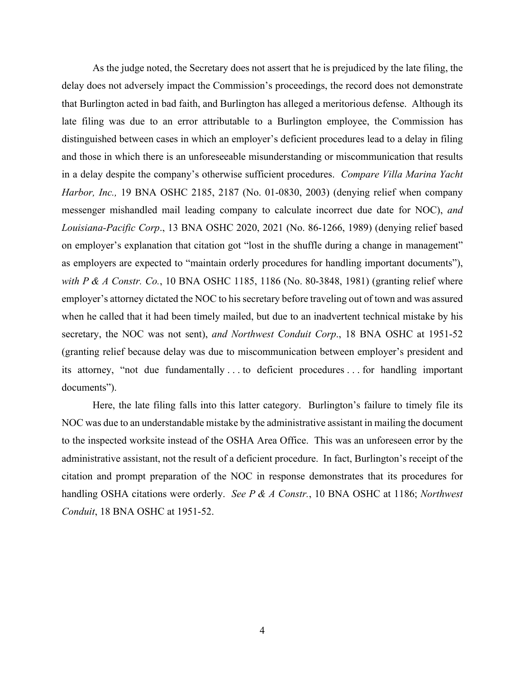As the judge noted, the Secretary does not assert that he is prejudiced by the late filing, the delay does not adversely impact the Commission's proceedings, the record does not demonstrate that Burlington acted in bad faith, and Burlington has alleged a meritorious defense. Although its late filing was due to an error attributable to a Burlington employee, the Commission has distinguished between cases in which an employer's deficient procedures lead to a delay in filing and those in which there is an unforeseeable misunderstanding or miscommunication that results in a delay despite the company's otherwise sufficient procedures. *Compare Villa Marina Yacht Harbor, Inc.,* 19 BNA OSHC 2185, 2187 (No. 01-0830, 2003) (denying relief when company messenger mishandled mail leading company to calculate incorrect due date for NOC), *and Louisiana-Pacific Corp*., 13 BNA OSHC 2020, 2021 (No. 86-1266, 1989) (denying relief based on employer's explanation that citation got "lost in the shuffle during a change in management" as employers are expected to "maintain orderly procedures for handling important documents"), *with P & A Constr. Co.*, 10 BNA OSHC 1185, 1186 (No. 80-3848, 1981) (granting relief where employer's attorney dictated the NOC to his secretary before traveling out of town and was assured when he called that it had been timely mailed, but due to an inadvertent technical mistake by his secretary, the NOC was not sent), *and Northwest Conduit Corp*., 18 BNA OSHC at 1951-52 (granting relief because delay was due to miscommunication between employer's president and its attorney, "not due fundamentally . . . to deficient procedures . . . for handling important documents").

Here, the late filing falls into this latter category. Burlington's failure to timely file its NOC was due to an understandable mistake by the administrative assistant in mailing the document to the inspected worksite instead of the OSHA Area Office. This was an unforeseen error by the administrative assistant, not the result of a deficient procedure. In fact, Burlington's receipt of the citation and prompt preparation of the NOC in response demonstrates that its procedures for handling OSHA citations were orderly. *See P & A Constr.*, 10 BNA OSHC at 1186; *Northwest Conduit*, 18 BNA OSHC at 1951-52.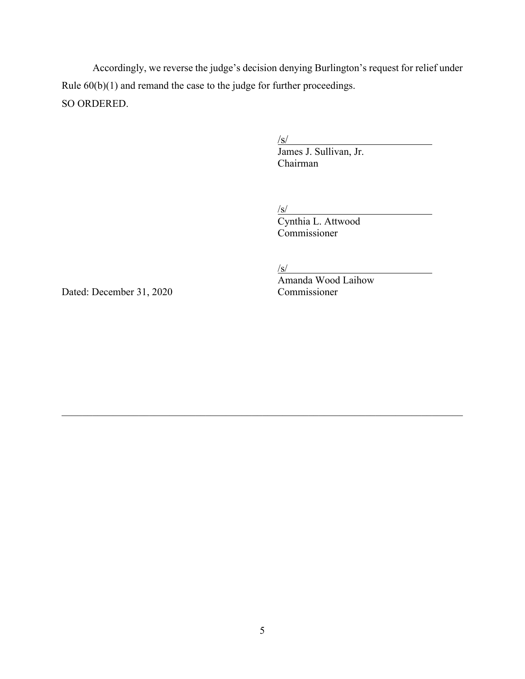Accordingly, we reverse the judge's decision denying Burlington's request for relief under Rule 60(b)(1) and remand the case to the judge for further proceedings. SO ORDERED.

 $\sqrt{s/2}$ 

James J. Sullivan, Jr. Chairman

 $\sqrt{s/2}$ 

Cynthia L. Attwood Commissioner

 $\sqrt{s/2}$ 

Dated: December 31, 2020 Commissioner

Amanda Wood Laihow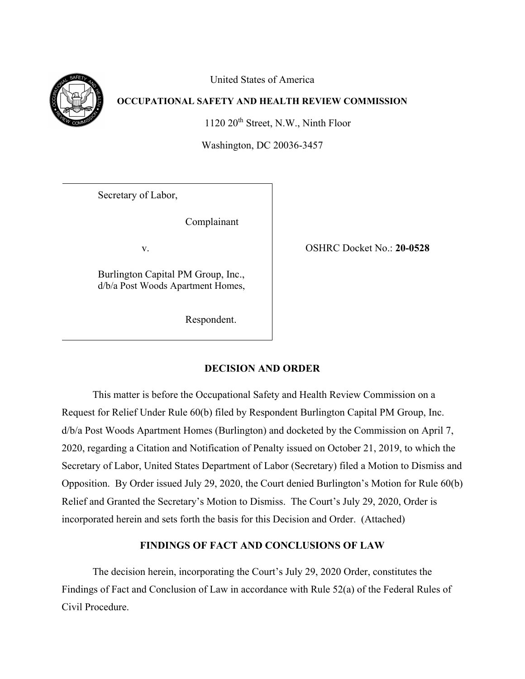United States of America



# **OCCUPATIONAL SAFETY AND HEALTH REVIEW COMMISSION**

1120 20<sup>th</sup> Street, N.W., Ninth Floor

Washington, DC 20036-3457

Secretary of Labor,

Complainant

Burlington Capital PM Group, Inc., d/b/a Post Woods Apartment Homes,

Respondent.

v. OSHRC Docket No.: **20-0528**

# **DECISION AND ORDER**

This matter is before the Occupational Safety and Health Review Commission on a Request for Relief Under Rule 60(b) filed by Respondent Burlington Capital PM Group, Inc. d/b/a Post Woods Apartment Homes (Burlington) and docketed by the Commission on April 7, 2020, regarding a Citation and Notification of Penalty issued on October 21, 2019, to which the Secretary of Labor, United States Department of Labor (Secretary) filed a Motion to Dismiss and Opposition. By Order issued July 29, 2020, the Court denied Burlington's Motion for Rule 60(b) Relief and Granted the Secretary's Motion to Dismiss. The Court's July 29, 2020, Order is incorporated herein and sets forth the basis for this Decision and Order. (Attached)

# **FINDINGS OF FACT AND CONCLUSIONS OF LAW**

The decision herein, incorporating the Court's July 29, 2020 Order, constitutes the Findings of Fact and Conclusion of Law in accordance with Rule 52(a) of the Federal Rules of Civil Procedure.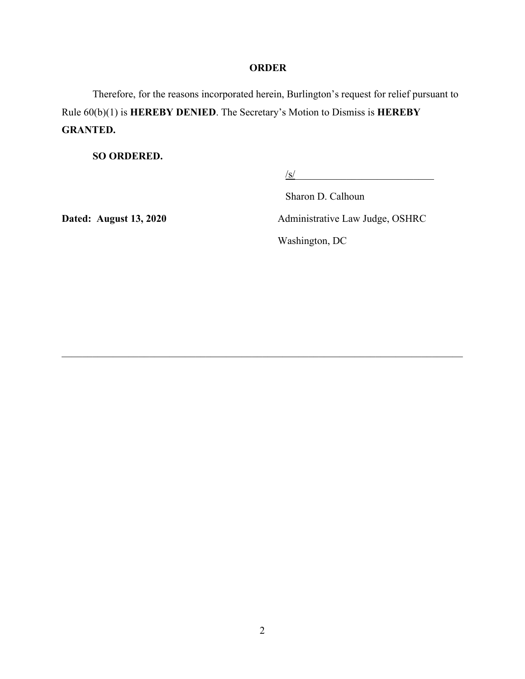# **ORDER**

Therefore, for the reasons incorporated herein, Burlington's request for relief pursuant to Rule 60(b)(1) is **HEREBY DENIED**. The Secretary's Motion to Dismiss is **HEREBY GRANTED.** 

**SO ORDERED.** 

 $\frac{1}{s}$ 

Sharon D. Calhoun

Dated: August 13, 2020 **Administrative Law Judge, OSHRC** Washington, DC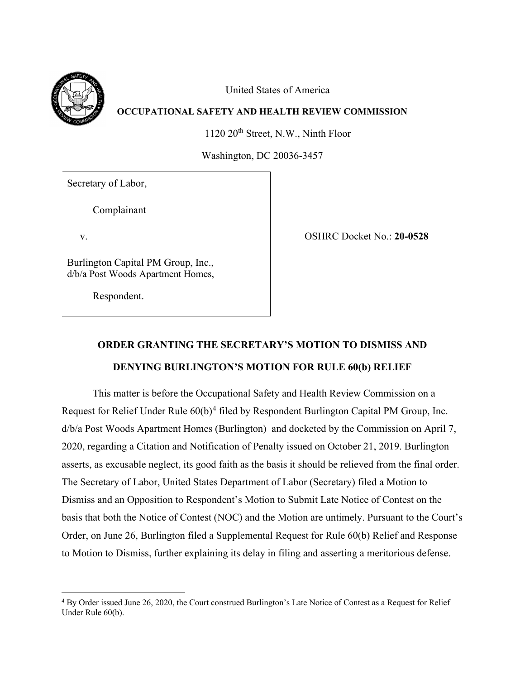

United States of America

## **OCCUPATIONAL SAFETY AND HEALTH REVIEW COMMISSION**

1120 20<sup>th</sup> Street, N.W., Ninth Floor

Washington, DC 20036-3457

Secretary of Labor,

Complainant

Burlington Capital PM Group, Inc., d/b/a Post Woods Apartment Homes,

Respondent.

v. OSHRC Docket No.: **20-0528**

# **ORDER GRANTING THE SECRETARY'S MOTION TO DISMISS AND DENYING BURLINGTON'S MOTION FOR RULE 60(b) RELIEF**

This matter is before the Occupational Safety and Health Review Commission on a Request for Relief Under Rule 60(b)<sup>[4](#page-7-0)</sup> filed by Respondent Burlington Capital PM Group, Inc. d/b/a Post Woods Apartment Homes (Burlington) and docketed by the Commission on April 7, 2020, regarding a Citation and Notification of Penalty issued on October 21, 2019. Burlington asserts, as excusable neglect, its good faith as the basis it should be relieved from the final order. The Secretary of Labor, United States Department of Labor (Secretary) filed a Motion to Dismiss and an Opposition to Respondent's Motion to Submit Late Notice of Contest on the basis that both the Notice of Contest (NOC) and the Motion are untimely. Pursuant to the Court's Order, on June 26, Burlington filed a Supplemental Request for Rule 60(b) Relief and Response to Motion to Dismiss, further explaining its delay in filing and asserting a meritorious defense.

<span id="page-7-0"></span><sup>&</sup>lt;sup>4</sup> By Order issued June 26, 2020, the Court construed Burlington's Late Notice of Contest as a Request for Relief Under Rule 60(b).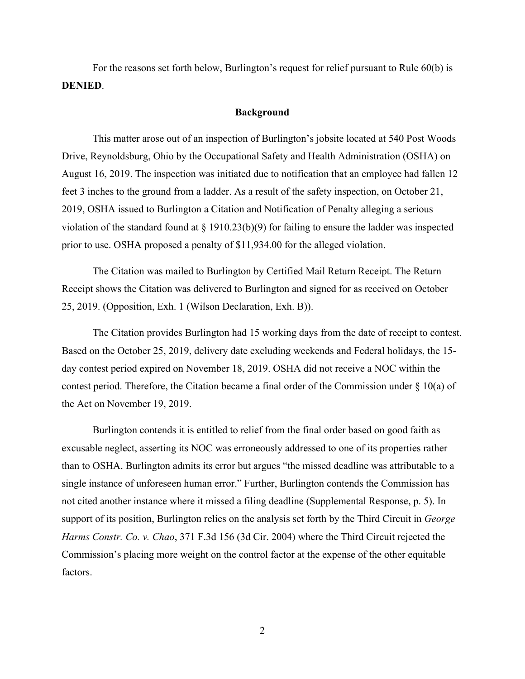For the reasons set forth below, Burlington's request for relief pursuant to Rule 60(b) is **DENIED**.

### **Background**

This matter arose out of an inspection of Burlington's jobsite located at 540 Post Woods Drive, Reynoldsburg, Ohio by the Occupational Safety and Health Administration (OSHA) on August 16, 2019. The inspection was initiated due to notification that an employee had fallen 12 feet 3 inches to the ground from a ladder. As a result of the safety inspection, on October 21, 2019, OSHA issued to Burlington a Citation and Notification of Penalty alleging a serious violation of the standard found at § 1910.23(b)(9) for failing to ensure the ladder was inspected prior to use. OSHA proposed a penalty of \$11,934.00 for the alleged violation.

The Citation was mailed to Burlington by Certified Mail Return Receipt. The Return Receipt shows the Citation was delivered to Burlington and signed for as received on October 25, 2019. (Opposition, Exh. 1 (Wilson Declaration, Exh. B)).

The Citation provides Burlington had 15 working days from the date of receipt to contest. Based on the October 25, 2019, delivery date excluding weekends and Federal holidays, the 15 day contest period expired on November 18, 2019. OSHA did not receive a NOC within the contest period. Therefore, the Citation became a final order of the Commission under § 10(a) of the Act on November 19, 2019.

Burlington contends it is entitled to relief from the final order based on good faith as excusable neglect, asserting its NOC was erroneously addressed to one of its properties rather than to OSHA. Burlington admits its error but argues "the missed deadline was attributable to a single instance of unforeseen human error." Further, Burlington contends the Commission has not cited another instance where it missed a filing deadline (Supplemental Response, p. 5). In support of its position, Burlington relies on the analysis set forth by the Third Circuit in *George Harms Constr. Co. v. Chao*, 371 F.3d 156 (3d Cir. 2004) where the Third Circuit rejected the Commission's placing more weight on the control factor at the expense of the other equitable factors.

2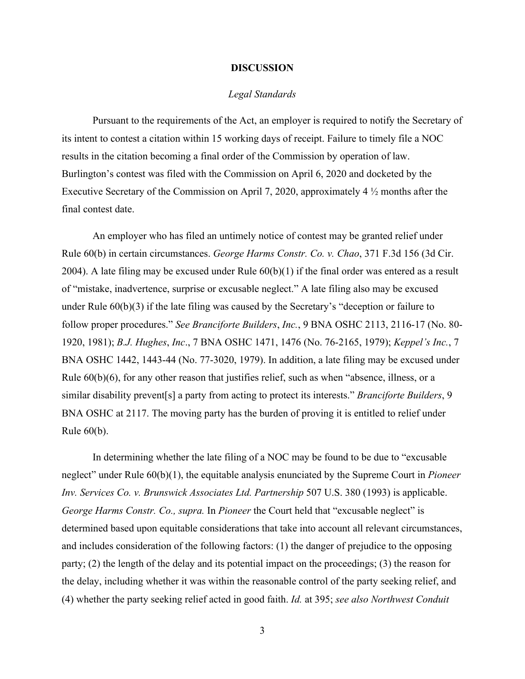#### **DISCUSSION**

## *Legal Standards*

Pursuant to the requirements of the Act, an employer is required to notify the Secretary of its intent to contest a citation within 15 working days of receipt. Failure to timely file a NOC results in the citation becoming a final order of the Commission by operation of law. Burlington's contest was filed with the Commission on April 6, 2020 and docketed by the Executive Secretary of the Commission on April 7, 2020, approximately 4 ½ months after the final contest date.

An employer who has filed an untimely notice of contest may be granted relief under Rule 60(b) in certain circumstances. *George Harms Constr. Co. v. Chao*, 371 F.3d 156 (3d Cir. 2004). A late filing may be excused under Rule  $60(b)(1)$  if the final order was entered as a result of "mistake, inadvertence, surprise or excusable neglect." A late filing also may be excused under Rule 60(b)(3) if the late filing was caused by the Secretary's "deception or failure to follow proper procedures." *See Branciforte Builders*, *Inc.*, 9 BNA OSHC 2113, 2116-17 (No. 80- 1920, 1981); *B.J. Hughes*, *Inc*., 7 BNA OSHC 1471, 1476 (No. 76-2165, 1979); *Keppel's Inc.*, 7 BNA OSHC 1442, 1443-44 (No. 77-3020, 1979). In addition, a late filing may be excused under Rule 60(b)(6), for any other reason that justifies relief, such as when "absence, illness, or a similar disability prevent[s] a party from acting to protect its interests." *Branciforte Builders*, 9 BNA OSHC at 2117. The moving party has the burden of proving it is entitled to relief under Rule 60(b).

In determining whether the late filing of a NOC may be found to be due to "excusable neglect" under Rule 60(b)(1), the equitable analysis enunciated by the Supreme Court in *Pioneer Inv. Services Co. v. Brunswick Associates Ltd. Partnership* 507 U.S. 380 (1993) is applicable. *[George Harms Constr. Co.,](http://www.westlaw.com/Find/Default.wl?rs=dfa1.0&vr=2.0&DB=506&FindType=Y&ReferencePositionType=S&SerialNum=2004560020&ReferencePosition=163) supra.* In *Pioneer* the Court held that "excusable neglect" is determined based upon equitable considerations that take into account all relevant circumstances, and includes consideration of the following factors: (1) the danger of prejudice to the opposing party; (2) the length of the delay and its potential impact on the proceedings; (3) the reason for the delay, including whether it was within the reasonable control of the party seeking relief, and (4) whether the party seeking relief acted in good faith. *Id.* [at 395;](http://www.westlaw.com/Find/Default.wl?rs=dfa1.0&vr=2.0&DB=780&FindType=Y&ReferencePositionType=S&SerialNum=1993072396&ReferencePosition=395) *see also [Northwest Conduit](http://www.westlaw.com/Find/Default.wl?rs=dfa1.0&vr=2.0&DB=0003227&FindType=Y&SerialNum=1999284282)* 

3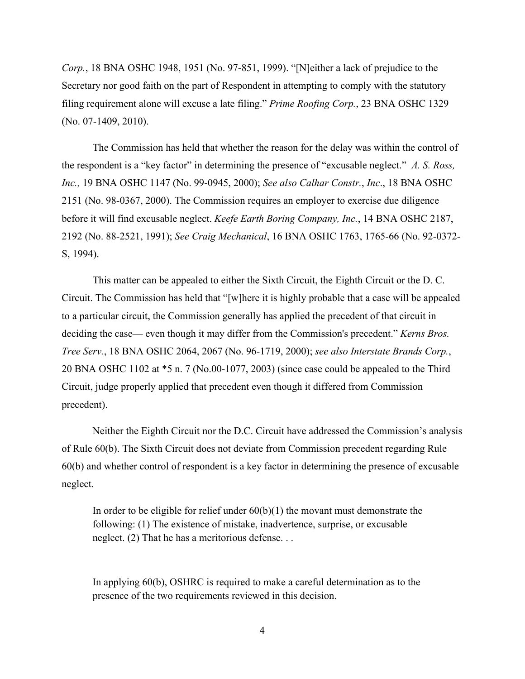*[Corp.](http://www.westlaw.com/Find/Default.wl?rs=dfa1.0&vr=2.0&DB=0003227&FindType=Y&SerialNum=1999284282)*[, 18 BNA OSHC 1948, 1951 \(No. 97-851, 1999\). "](http://www.westlaw.com/Find/Default.wl?rs=dfa1.0&vr=2.0&DB=0003227&FindType=Y&SerialNum=1999284282)[N]either a lack of prejudice to the Secretary nor good faith on the part of Respondent in attempting to comply with the statutory filing requirement alone will excuse a late filing." *[Prime Roofing Corp.](http://www.westlaw.com/Find/Default.wl?rs=dfa1.0&vr=2.0&DB=0003227&FindType=Y&SerialNum=2024060162)*[, 23 BNA OSHC 1329](http://www.westlaw.com/Find/Default.wl?rs=dfa1.0&vr=2.0&DB=0003227&FindType=Y&SerialNum=2024060162)  [\(No. 07-1409, 2010\).](http://www.westlaw.com/Find/Default.wl?rs=dfa1.0&vr=2.0&DB=0003227&FindType=Y&SerialNum=2024060162)

The Commission has held that whether the reason for the delay was within the control of the respondent is a "key factor" in determining the presence of "excusable neglect." *A. S. Ross, Inc.,* 19 BNA OSHC 1147 (No. 99-0945, 2000); *See also Calhar Constr.*, *Inc*., 18 BNA OSHC 2151 (No. 98-0367, 2000). The Commission requires an employer to exercise due diligence before it will find excusable neglect. *Keefe Earth Boring Company, Inc.*, [14 BNA OSHC 2187,](http://www.westlaw.com/Find/Default.wl?rs=dfa1.0&vr=2.0&DB=0003227&FindType=Y&SerialNum=1991434415)  [2192 \(No. 88-2521, 1991\);](http://www.westlaw.com/Find/Default.wl?rs=dfa1.0&vr=2.0&DB=0003227&FindType=Y&SerialNum=1991434415) *See Craig Mechanical*, 16 BNA OSHC 1763, 1765-66 (No. 92-0372- S, 1994).

This matter can be appealed to either the Sixth Circuit, the Eighth Circuit or the D. C. Circuit. The Commission has held that "[w]here it is highly probable that a case will be appealed to a particular circuit, the Commission generally has applied the precedent of that circuit in deciding the case— even though it may differ from the Commission's precedent." *Kerns Bros. Tree Serv.*, 18 BNA OSHC 2064, 2067 (No. 96-1719, 2000); *see also Interstate Brands Corp.*, 20 BNA OSHC 1102 at \*5 n. 7 (No.00-1077, 2003) (since case could be appealed to the Third Circuit, judge properly applied that precedent even though it differed from Commission precedent).

Neither the Eighth Circuit nor the D.C. Circuit have addressed the Commission's analysis of Rule 60(b). The Sixth Circuit does not deviate from Commission precedent regarding Rule 60(b) and whether control of respondent is a key factor in determining the presence of excusable neglect.

In order to be eligible for relief under  $60(b)(1)$  the movant must demonstrate the following: (1) The existence of mistake, inadvertence, surprise, or excusable neglect. (2) That he has a meritorious defense. . .

In applying 60(b), OSHRC is required to make a careful determination as to the presence of the two requirements reviewed in this decision.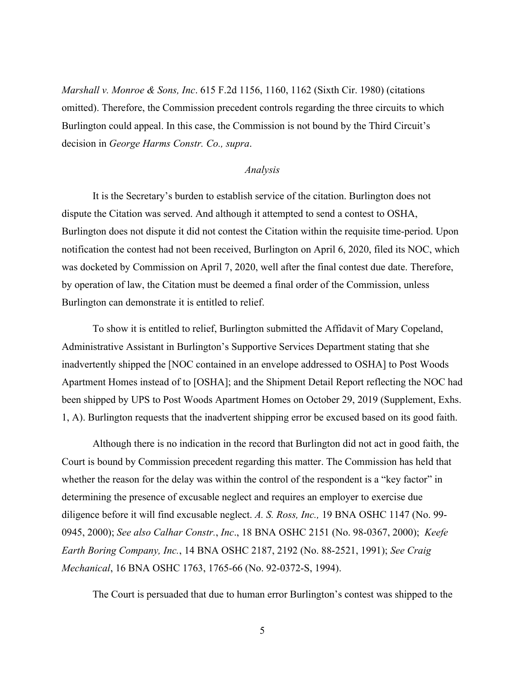*Marshall v. Monroe & Sons, Inc*. 615 F.2d 1156, 1160, 1162 (Sixth Cir. 1980) (citations omitted). Therefore, the Commission precedent controls regarding the three circuits to which Burlington could appeal. In this case, the Commission is not bound by the Third Circuit's decision in *[George Harms Constr. Co.,](http://www.westlaw.com/Find/Default.wl?rs=dfa1.0&vr=2.0&DB=506&FindType=Y&ReferencePositionType=S&SerialNum=2004560020&ReferencePosition=163) supra*.

#### *Analysis*

It is the Secretary's burden to establish service of the citation. Burlington does not dispute the Citation was served. And although it attempted to send a contest to OSHA, Burlington does not dispute it did not contest the Citation within the requisite time-period. Upon notification the contest had not been received, Burlington on April 6, 2020, filed its NOC, which was docketed by Commission on April 7, 2020, well after the final contest due date. Therefore, by operation of law, the Citation must be deemed a final order of the Commission, unless Burlington can demonstrate it is entitled to relief.

To show it is entitled to relief, Burlington submitted the Affidavit of Mary Copeland, Administrative Assistant in Burlington's Supportive Services Department stating that she inadvertently shipped the [NOC contained in an envelope addressed to OSHA] to Post Woods Apartment Homes instead of to [OSHA]; and the Shipment Detail Report reflecting the NOC had been shipped by UPS to Post Woods Apartment Homes on October 29, 2019 (Supplement, Exhs. 1, A). Burlington requests that the inadvertent shipping error be excused based on its good faith.

Although there is no indication in the record that Burlington did not act in good faith, the Court is bound by Commission precedent regarding this matter. The Commission has held that whether the reason for the delay was within the control of the respondent is a "key factor" in determining the presence of excusable neglect and requires an employer to exercise due diligence before it will find excusable neglect. *A. S. Ross, Inc.,* 19 BNA OSHC 1147 (No. 99- 0945, 2000); *See also Calhar Constr.*, *Inc*., 18 BNA OSHC 2151 (No. 98-0367, 2000); *Keefe Earth Boring Company, Inc.*, [14 BNA OSHC 2187, 2192 \(No. 88-2521, 1991\);](http://www.westlaw.com/Find/Default.wl?rs=dfa1.0&vr=2.0&DB=0003227&FindType=Y&SerialNum=1991434415) *See Craig Mechanical*, 16 BNA OSHC 1763, 1765-66 (No. 92-0372-S, 1994).

The Court is persuaded that due to human error Burlington's contest was shipped to the

5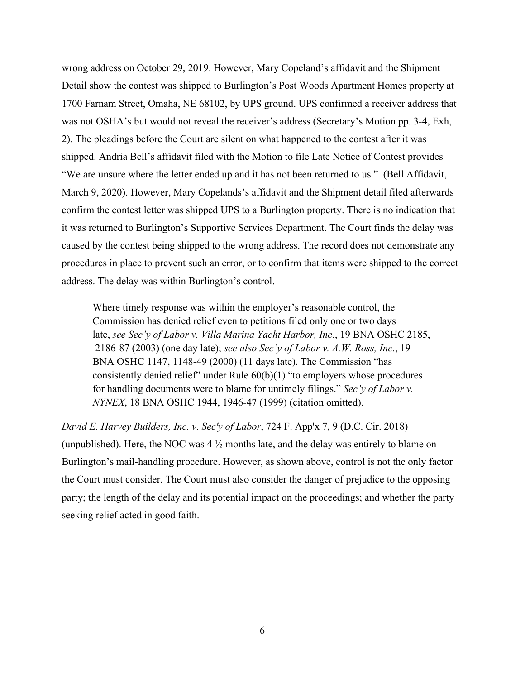wrong address on October 29, 2019. However, Mary Copeland's affidavit and the Shipment Detail show the contest was shipped to Burlington's Post Woods Apartment Homes property at 1700 Farnam Street, Omaha, NE 68102, by UPS ground. UPS confirmed a receiver address that was not OSHA's but would not reveal the receiver's address (Secretary's Motion pp. 3-4, Exh, 2). The pleadings before the Court are silent on what happened to the contest after it was shipped. Andria Bell's affidavit filed with the Motion to file Late Notice of Contest provides "We are unsure where the letter ended up and it has not been returned to us." (Bell Affidavit, March 9, 2020). However, Mary Copelands's affidavit and the Shipment detail filed afterwards confirm the contest letter was shipped UPS to a Burlington property. There is no indication that it was returned to Burlington's Supportive Services Department. The Court finds the delay was caused by the contest being shipped to the wrong address. The record does not demonstrate any procedures in place to prevent such an error, or to confirm that items were shipped to the correct address. The delay was within Burlington's control.

Where timely response was within the employer's reasonable control, the Commission has denied relief even to petitions filed only one or two days late, *see Sec'y of Labor v. Villa Marina Yacht Harbor, Inc.*, 19 BNA OSHC 2185, 2186-87 (2003) (one day late); *see also Sec'y of Labor v. A.W. Ross, Inc.*, 19 BNA OSHC 1147, 1148-49 (2000) (11 days late). The Commission "has consistently denied relief" under Rule  $60(b)(1)$  "to employers whose procedures for handling documents were to blame for untimely filings." *Sec'y of Labor v. NYNEX*, 18 BNA OSHC 1944, 1946-47 (1999) (citation omitted).

*David E. Harvey Builders, Inc. v. Sec'y of Labor*, 724 F. App'x 7, 9 (D.C. Cir. 2018) (unpublished). Here, the NOC was  $4\frac{1}{2}$  months late, and the delay was entirely to blame on Burlington's mail-handling procedure. However, as shown above, control is not the only factor the Court must consider. The Court must also consider the danger of prejudice to the opposing party; the length of the delay and its potential impact on the proceedings; and whether the party seeking relief acted in good faith.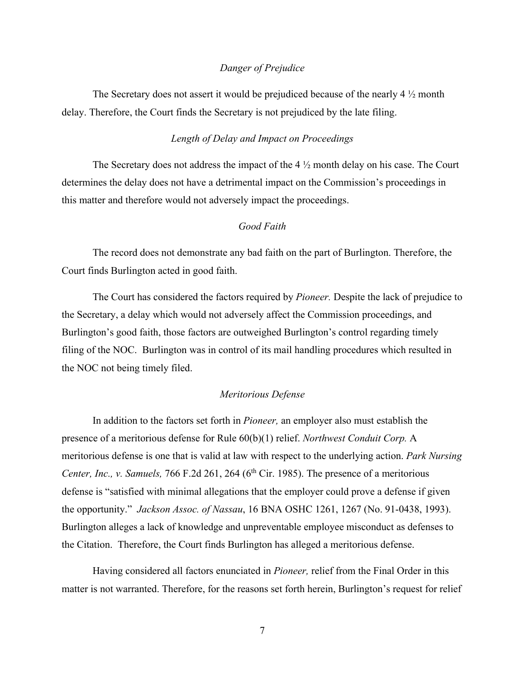## *Danger of Prejudice*

The Secretary does not assert it would be prejudiced because of the nearly 4 ½ month delay. Therefore, the Court finds the Secretary is not prejudiced by the late filing.

## *Length of Delay and Impact on Proceedings*

The Secretary does not address the impact of the 4 ½ month delay on his case. The Court determines the delay does not have a detrimental impact on the Commission's proceedings in this matter and therefore would not adversely impact the proceedings.

## *Good Faith*

The record does not demonstrate any bad faith on the part of Burlington. Therefore, the Court finds Burlington acted in good faith.

The Court has considered the factors required by *Pioneer.* Despite the lack of prejudice to the Secretary, a delay which would not adversely affect the Commission proceedings, and Burlington's good faith, those factors are outweighed Burlington's control regarding timely filing of the NOC. Burlington was in control of its mail handling procedures which resulted in the NOC not being timely filed.

## *Meritorious Defense*

In addition to the factors set forth in *Pioneer,* an employer also must establish the presence of a meritorious defense for Rule 60(b)(1) relief. *Northwest Conduit Corp.* A meritorious defense is one that is valid at law with respect to the underlying action. *Park Nursing Center, Inc., v. Samuels, 766 F.2d 261, 264 (6<sup>th</sup> Cir. 1985). The presence of a meritorious* defense is "satisfied with minimal allegations that the employer could prove a defense if given the opportunity." *Jackson Assoc. of Nassau*, 16 BNA OSHC 1261, 1267 (No. 91-0438, 1993). Burlington alleges a lack of knowledge and unpreventable employee misconduct as defenses to the Citation. Therefore, the Court finds Burlington has alleged a meritorious defense.

Having considered all factors enunciated in *Pioneer,* relief from the Final Order in this matter is not warranted. Therefore, for the reasons set forth herein, Burlington's request for relief